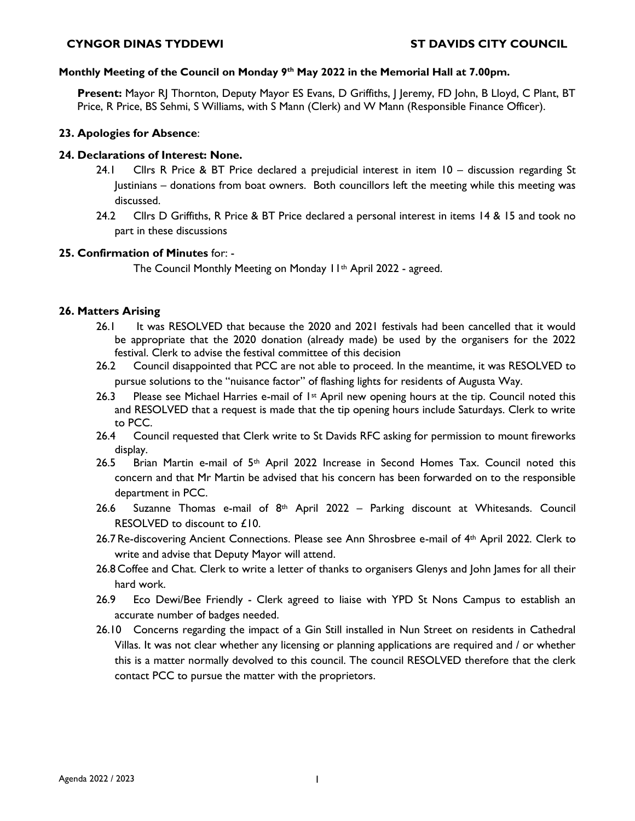#### **Monthly Meeting of the Council on Monday 9th May 2022 in the Memorial Hall at 7.00pm.**

**Present:** Mayor RJ Thornton, Deputy Mayor ES Evans, D Griffiths, J Jeremy, FD John, B Lloyd, C Plant, BT Price, R Price, BS Sehmi, S Williams, with S Mann (Clerk) and W Mann (Responsible Finance Officer).

## **23. Apologies for Absence**:

# **24. Declarations of Interest: None.**

- 24.1 Cllrs R Price & BT Price declared a prejudicial interest in item 10 discussion regarding St Justinians – donations from boat owners. Both councillors left the meeting while this meeting was discussed.
- 24.2 Cllrs D Griffiths, R Price & BT Price declared a personal interest in items 14 & 15 and took no part in these discussions

## **25. Confirmation of Minutes** for: -

The Council Monthly Meeting on Monday 11th April 2022 - agreed.

## **26. Matters Arising**

- 26.1 It was RESOLVED that because the 2020 and 2021 festivals had been cancelled that it would be appropriate that the 2020 donation (already made) be used by the organisers for the 2022 festival. Clerk to advise the festival committee of this decision
- 26.2 Council disappointed that PCC are not able to proceed. In the meantime, it was RESOLVED to pursue solutions to the "nuisance factor" of flashing lights for residents of Augusta Way.
- 26.3 Please see Michael Harries e-mail of  $1^{st}$  April new opening hours at the tip. Council noted this and RESOLVED that a request is made that the tip opening hours include Saturdays. Clerk to write to PCC.
- 26.4 Council requested that Clerk write to St Davids RFC asking for permission to mount fireworks display.
- 26.5 Brian Martin e-mail of  $5<sup>th</sup>$  April 2022 Increase in Second Homes Tax. Council noted this concern and that Mr Martin be advised that his concern has been forwarded on to the responsible department in PCC.
- 26.6 Suzanne Thomas e-mail of  $8<sup>th</sup>$  April 2022 Parking discount at Whitesands. Council RESOLVED to discount to £10.
- 26.7Re-discovering Ancient Connections. Please see Ann Shrosbree e-mail of 4th April 2022. Clerk to write and advise that Deputy Mayor will attend.
- 26.8 Coffee and Chat. Clerk to write a letter of thanks to organisers Glenys and John James for all their hard work.
- 26.9 Eco Dewi/Bee Friendly Clerk agreed to liaise with YPD St Nons Campus to establish an accurate number of badges needed.
- 26.10 Concerns regarding the impact of a Gin Still installed in Nun Street on residents in Cathedral Villas. It was not clear whether any licensing or planning applications are required and / or whether this is a matter normally devolved to this council. The council RESOLVED therefore that the clerk contact PCC to pursue the matter with the proprietors.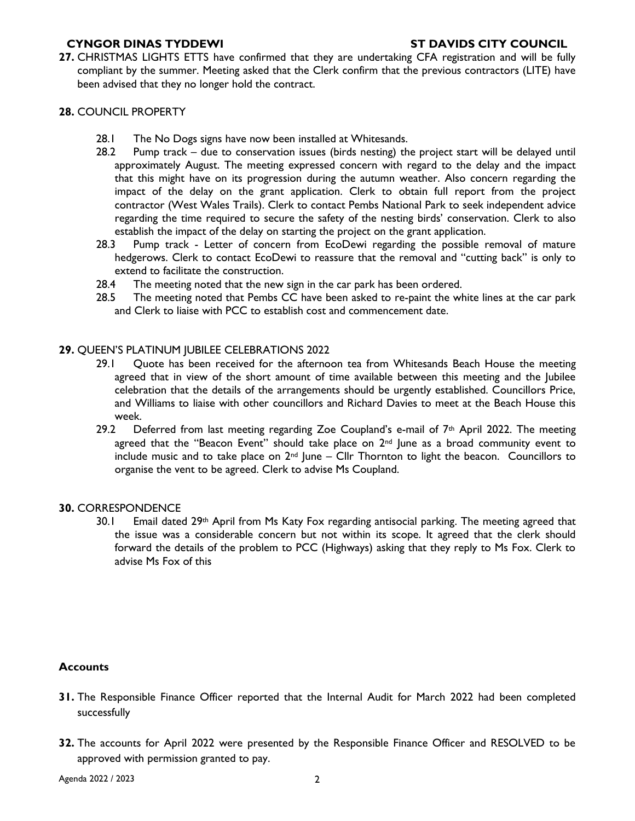**27.** CHRISTMAS LIGHTS ETTS have confirmed that they are undertaking CFA registration and will be fully compliant by the summer. Meeting asked that the Clerk confirm that the previous contractors (LITE) have been advised that they no longer hold the contract.

## **28.** COUNCIL PROPERTY

- 28.1 The No Dogs signs have now been installed at Whitesands.
- 28.2 Pump track due to conservation issues (birds nesting) the project start will be delayed until approximately August. The meeting expressed concern with regard to the delay and the impact that this might have on its progression during the autumn weather. Also concern regarding the impact of the delay on the grant application. Clerk to obtain full report from the project contractor (West Wales Trails). Clerk to contact Pembs National Park to seek independent advice regarding the time required to secure the safety of the nesting birds' conservation. Clerk to also establish the impact of the delay on starting the project on the grant application.
- 28.3 Pump track Letter of concern from EcoDewi regarding the possible removal of mature hedgerows. Clerk to contact EcoDewi to reassure that the removal and "cutting back" is only to extend to facilitate the construction.
- 28.4 The meeting noted that the new sign in the car park has been ordered.
- 28.5 The meeting noted that Pembs CC have been asked to re-paint the white lines at the car park and Clerk to liaise with PCC to establish cost and commencement date.

## **29.** QUEEN'S PLATINUM JUBILEE CELEBRATIONS 2022

- 29.1 Quote has been received for the afternoon tea from Whitesands Beach House the meeting agreed that in view of the short amount of time available between this meeting and the Jubilee celebration that the details of the arrangements should be urgently established. Councillors Price, and Williams to liaise with other councillors and Richard Davies to meet at the Beach House this week.
- 29.2 Deferred from last meeting regarding Zoe Coupland's e-mail of  $7<sup>th</sup>$  April 2022. The meeting agreed that the "Beacon Event" should take place on  $2<sup>nd</sup>$  June as a broad community event to include music and to take place on  $2^{nd}$  June – Cllr Thornton to light the beacon. Councillors to organise the vent to be agreed. Clerk to advise Ms Coupland.

#### **30.** CORRESPONDENCE

30.1 Email dated 29<sup>th</sup> April from Ms Katy Fox regarding antisocial parking. The meeting agreed that the issue was a considerable concern but not within its scope. It agreed that the clerk should forward the details of the problem to PCC (Highways) asking that they reply to Ms Fox. Clerk to advise Ms Fox of this

## **Accounts**

- **31.** The Responsible Finance Officer reported that the Internal Audit for March 2022 had been completed successfully
- **32.** The accounts for April 2022 were presented by the Responsible Finance Officer and RESOLVED to be approved with permission granted to pay.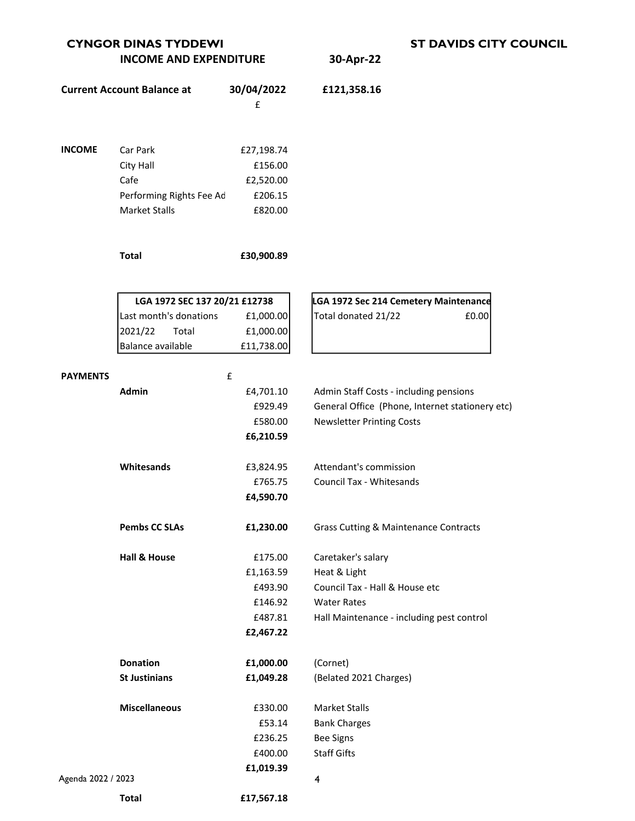| <b>CYNGOR DINAS TYDDEWI</b>   |           |  |  |
|-------------------------------|-----------|--|--|
| <b>INCOME AND EXPENDITURE</b> | 30-Apr-22 |  |  |

|                    | <b>Current Account Balance at</b> | 30/04/2022 | £121,358.16                                      |
|--------------------|-----------------------------------|------------|--------------------------------------------------|
|                    |                                   | £          |                                                  |
|                    |                                   |            |                                                  |
| <b>INCOME</b>      | Car Park                          | £27,198.74 |                                                  |
|                    | City Hall                         | £156.00    |                                                  |
|                    | Cafe                              | £2,520.00  |                                                  |
|                    | Performing Rights Fee Ad          | £206.15    |                                                  |
|                    | <b>Market Stalls</b>              | £820.00    |                                                  |
|                    | <b>Total</b>                      | £30,900.89 |                                                  |
|                    | LGA 1972 SEC 137 20/21 £12738     |            | LGA 1972 Sec 214 Cemetery Maintenance            |
|                    | Last month's donations            | £1,000.00  | Total donated 21/22<br>£0.00                     |
|                    | 2021/22<br>Total                  | £1,000.00  |                                                  |
|                    | Balance available                 | £11,738.00 |                                                  |
|                    |                                   |            |                                                  |
| <b>PAYMENTS</b>    |                                   | £          |                                                  |
|                    | <b>Admin</b>                      | £4,701.10  | Admin Staff Costs - including pensions           |
|                    |                                   | £929.49    | General Office (Phone, Internet stationery etc)  |
|                    |                                   | £580.00    | <b>Newsletter Printing Costs</b>                 |
|                    |                                   | £6,210.59  |                                                  |
|                    | Whitesands                        | £3,824.95  | Attendant's commission                           |
|                    |                                   | £765.75    | Council Tax - Whitesands                         |
|                    |                                   | £4,590.70  |                                                  |
|                    | <b>Pembs CC SLAs</b>              | £1,230.00  | <b>Grass Cutting &amp; Maintenance Contracts</b> |
|                    | <b>Hall &amp; House</b>           | £175.00    | Caretaker's salary                               |
|                    |                                   | £1,163.59  | Heat & Light                                     |
|                    |                                   | £493.90    | Council Tax - Hall & House etc                   |
|                    |                                   | £146.92    | <b>Water Rates</b>                               |
|                    |                                   | £487.81    | Hall Maintenance - including pest control        |
|                    |                                   | £2,467.22  |                                                  |
|                    | <b>Donation</b>                   | £1,000.00  | (Cornet)                                         |
|                    | <b>St Justinians</b>              | £1,049.28  | (Belated 2021 Charges)                           |
|                    | <b>Miscellaneous</b>              | £330.00    | <b>Market Stalls</b>                             |
|                    |                                   | £53.14     | <b>Bank Charges</b>                              |
|                    |                                   | £236.25    | <b>Bee Signs</b>                                 |
|                    |                                   | £400.00    | <b>Staff Gifts</b>                               |
| Agenda 2022 / 2023 |                                   | £1,019.39  | 4                                                |
|                    |                                   |            |                                                  |
|                    | <b>Total</b>                      | £17,567.18 |                                                  |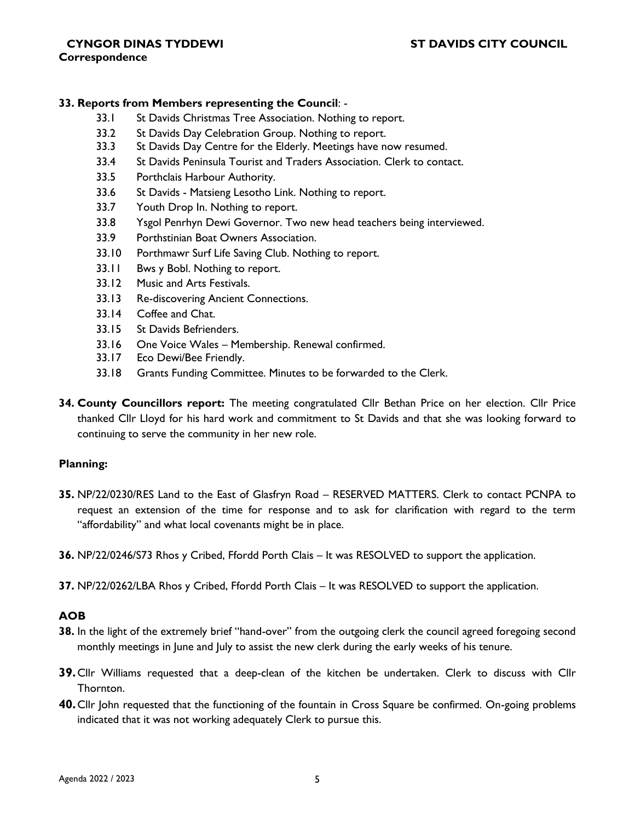# **CYNGOR DINAS TYDDEWI ST DAVIDS CITY COUNCIL**

#### **Correspondence**

## **33. Reports from Members representing the Council**: -

- 33.1 St Davids Christmas Tree Association. Nothing to report.
- 33.2 St Davids Day Celebration Group. Nothing to report.
- 33.3 St Davids Day Centre for the Elderly. Meetings have now resumed.
- 33.4 St Davids Peninsula Tourist and Traders Association. Clerk to contact.
- 33.5 Porthclais Harbour Authority.
- 33.6 St Davids Matsieng Lesotho Link. Nothing to report.
- 33.7 Youth Drop In. Nothing to report.
- 33.8 Ysgol Penrhyn Dewi Governor. Two new head teachers being interviewed.
- 33.9 Porthstinian Boat Owners Association.
- 33.10 Porthmawr Surf Life Saving Club. Nothing to report.
- 33.11 Bws y Bobl. Nothing to report.
- 33.12 Music and Arts Festivals.
- 33.13 Re-discovering Ancient Connections.
- 33.14 Coffee and Chat.
- 33.15 St Davids Befrienders.
- 33.16 One Voice Wales Membership. Renewal confirmed.
- 33.17 Eco Dewi/Bee Friendly.
- 33.18 Grants Funding Committee. Minutes to be forwarded to the Clerk.
- **34. County Councillors report:** The meeting congratulated Cllr Bethan Price on her election. Cllr Price thanked Cllr Lloyd for his hard work and commitment to St Davids and that she was looking forward to continuing to serve the community in her new role.

## **Planning:**

**35.** NP/22/0230/RES Land to the East of Glasfryn Road – RESERVED MATTERS. Clerk to contact PCNPA to request an extension of the time for response and to ask for clarification with regard to the term "affordability" and what local covenants might be in place.

**36.** NP/22/0246/S73 Rhos y Cribed, Ffordd Porth Clais – It was RESOLVED to support the application.

**37.** NP/22/0262/LBA Rhos y Cribed, Ffordd Porth Clais – It was RESOLVED to support the application.

# **AOB**

- **38.** In the light of the extremely brief "hand-over" from the outgoing clerk the council agreed foregoing second monthly meetings in June and July to assist the new clerk during the early weeks of his tenure.
- **39.**Cllr Williams requested that a deep-clean of the kitchen be undertaken. Clerk to discuss with Cllr Thornton.
- **40.**Cllr John requested that the functioning of the fountain in Cross Square be confirmed. On-going problems indicated that it was not working adequately Clerk to pursue this.